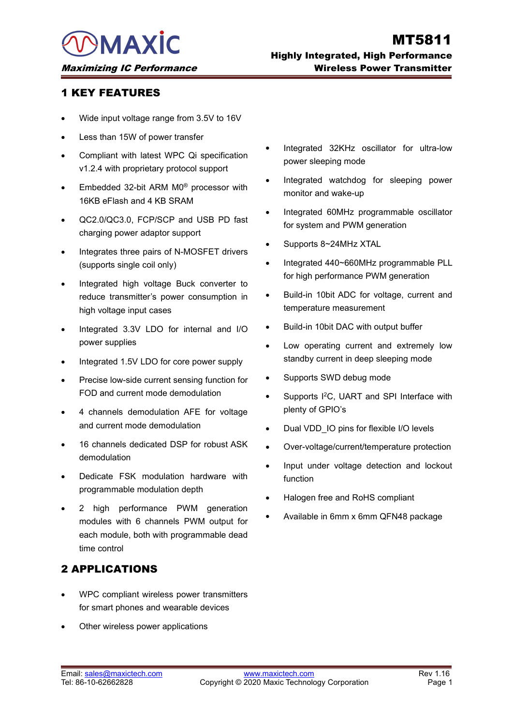- 
- 
- VERTURES<br>
VICE TRATURES<br>
Vice input voltage range from 3.5V to 16V<br>
Vice input voltage range from 3.5V to 16V<br>
VICE STATURES<br>
Compliant with latest WPC Qi specification<br>
V1.2.4 with proprietary protocol support<br>
Embedded 3 EY FEATURES<br>
Wide input voltage range from 3.5V to 16V<br>
Less than 15W of power transfer<br>
Compliant with latest WPC Qi specification<br>
v1.2.4 with proprietary protocol support<br>
Embedded 32-bit ARM M0<sup>®</sup> processor with<br>
16KB TRETTEATURES<br>
• Wide input voltage range from 3.5V to 16V<br>
• Less than 15W of power transfer<br>
• Compliant with latest WPC Qi specification<br>
• The starting prover sleeping mode<br>
• Embedded 32-bit ARM M0<sup>®</sup> processor with<br>
1 Vide input voltage range from 3.5V to 16V<br>
Less than 15W of power transfer<br>
Compliant with latest WPC Qi specification<br>
v1.2.4 with proprietary protocol support<br>
Embedded 32-bit ARM M0<sup>®</sup> processor with<br>
16KB eFlash and 4
- 
- 
- 
- Compliant with latest WPC Qi specification<br>
v1.2.4 with proprietary protocol support<br>
Embedded 32-bit ARM M0<sup>®</sup> processor with<br>
16KB eFlash and 4 KB SRAM<br>
 QC2.0/QC3.0, FCP/SCP and USB PD fast<br>
charging power adaptor supp Embedded 32-bit ARM M0<sup>®</sup> processor with<br>
16KB eFlash and 4 KB SRAM<br>
QC2.0/QC3.0, FCP/SCP and USB PD fast<br>
charging power adaptor support<br>
charging power adaptor support<br>
charging power adaptor support<br>
(supports single co Embedded 32-bit ARM M0<sup>®</sup> processor with<br>16KB eFlash and 4 KB SRAM<br>QC2.0/QC3.0, FCP/SCP and USB PD fast<br>charging power adaptor support<br>Integrates three pairs of N-MOSFET drivers<br>(supports single coil only)<br>Integrated high CC2.0/QC3.0, FCP/SCP and USB PD fast<br>
Integrated 60MHz prog<br>
charging power adaptor support<br>
Integrates three pairs of N-MOSFET drivers<br>
(supports 8~24MHz XT/<br>
(supports single coil only)<br>
Integrated 440~660MHz<br>
Integrated QC2.0/QC3.0, FCP/SCP and USB PD<br>charging power adaptor support<br>Integrates three pairs of N-MOSFET driv<br>(supports single coil only)<br>Integrated high voltage Buck converte<br>reduce transmitter's power consumption<br>high voltage i • Integrates three pairs of N-MOSFET drivers<br>
(supports single coil only)<br>
• Integrated 440~<br>
• Integrated high voltage Buck converter to<br>
• reduce transmitter's power consumption in<br>
• Build-in 10bit AI<br>
• Integrated 3.3V Free pairs of N-N-NOSI LT diversent services integrated 440-660M<br>
Integrated high voltage Buck converter to<br>
reduce transmitter's power consumption in<br>
Integrated 3.3V LDO for internal and I/O<br>
Precise low-side current sen For high voltage Buck converter to<br>
For high voltage input cases<br>
Integrated 3.3V LDO for internal and I/O<br>
Integrated 3.3V LDO for internal and I/O<br>
Integrated 1.5V LDO for core power supply<br>
Precise low-side current sens Fine practice transmitter's power consumption in<br>
teduce transmitter's power consumption in<br>
temperature means temperature means temperature means temperature means of the<br>
power supplies<br>
A power supplies<br>
A power supplie
- Fraction and European Consumption in the the tight voltage input cases<br>
Integrated 3.3V LDO for internal and I/O<br>
Precise low-side current sensing function for<br>
FOD and current mode demodulation<br>
4 channels demodulation AF • Integrated 3.3V LDO for internal and I/O • Build-in 10bit DAC v<br>
power supplies<br>
• Low operating currel sensing function for standby current in d<br>
• Precise low-side current sensing function for supports SWD debt<br>
FOD an
- 
- 
- Integrated 1.5V LDO for core power supply<br>
 Precise low-side current sensing function for<br>
FOD and current mode demodulation<br>
4 channels demodulation AFE for voltage<br>
and current mode demodulation<br>
 16 channels dedicat
- demodulation
- 
- Precise low-side current sensing function for<br>
FOD and current mode demodulation<br>
4 channels demodulation AFE for voltage<br>
and current mode demodulation<br>
16 channels dedicated DSP for robust ASK<br>
demodulation<br>
Dedicate FSK Precise low-side carrent sensing idiction for the control of the supports i<sup>2</sup>C,<br>
Pop and current mode demodulation<br> **4** channels demodulation<br> **16** channels dedicated DSP for robust ASK<br> **4** channels dedicated DSP for rob FOD and current mode demodulation<br>
4 channels demodulation<br>
16 channels dedicated DSP for robust ASK<br>
16 channels dedicated DSP for robust ASK<br>
16 channels dedicated DSP for robust ASK<br>
16 channels dedicated DSP for robust 4 channels demodulation AFE for voltage plenty of GPIO's<br>
and current mode demodulation<br>
16 channels dedicated DSP for robust ASK Over-voltage/current<br>
demodulation<br>
Dedicate FSK modulation hardware with<br>
programmable modu and current mode demodulation<br>16 channels dedicated DSP for robus<br>demodulation<br>Dedicate FSK modulation hardware<br>programmable modulation depth<br>2 high performance PWM gene<br>modules with 6 channels PWM outp<br>each module, both w 4 Channels demodulation AFE for voltage<br>
and current mode demodulation<br>
16 channels dedicated DSP for robust ASK<br>
16 channels dedicated DSP for robust ASK<br>
19 Dedicate FSK modulation hardware with<br>
programmable modulation • Dedicate FSK modulation hardware with<br>
programmable modulation depth<br>
• 2 high performance PWM generation<br>
modules with 6 channels PWM output for<br>
each module, both with programmable dead<br>
time control<br> **2 APPLICATIONS**<br> programmable modulation depth<br>
2 high performance PWM generation<br>
modules with 6 channels PWM output for<br>
each module, both with programmable dead<br>
time control<br> **PPLICATIONS**<br>
WPC compliant wireless power transmitters<br>
fo • 2 high performance PWM generation<br>modules with 6 channels PWM output for<br>each module, both with programmable dead<br>time control<br>**2 APPLICATIONS**<br>• WPC compliant wireless power transmitters<br>for smart phones and wearable de

- 2 APPLICATIONS<br>
■WPC compliant wireless power transmitters<br>
for smart phones and wearable devices<br>
 Other wireless power applications<br>
Email: <u>sales@maxictech.com</u> Rev 1.16<br>
Tel: 86-10-62662828<br>
Tel: 86-10-62662828<br>
Page 2APPLICATIONS<br>
• WPC compliant wireless power transmitters<br>
for smart phones and wearable devices<br>
• Other wireless power applications<br>
Ferail: sales@maxictech.com<br>
Fel: 86-10-62662828<br>
Tel: 86-10-62662828<br>
• Copyright ©
- 
- 
- Highly Integrated, High Performance<br>
Wireless Power Transmitter<br>
 Integrated 32KHz oscillator for ultra-low<br>
power sleeping mode<br>
 Integrated watchdog for sleeping power<br>
monitor and wake-up<br>
 Integrated 60MHz programma **Wireless Power Transmitter**<br>Integrated 32KHz oscillator for ultra-low<br>power sleeping mode<br>Integrated watchdog for sleeping power<br>monitor and wake-up<br>Integrated 60MHz programmable oscillator<br>for system and PWM generation - Integrated 32KHz oscillator for ultra-low<br>power sleeping mode<br>- Integrated watchdog for sleeping power<br>monitor and wake-up<br>- Integrated 60MHz programmable oscillator<br>for system and PWM generation<br>- Supports 8~24MHz XTAL Integrated 32KHz oscillator for ultra-low<br>power sleeping mode<br>Integrated watchdog for sleeping power<br>monitor and wake-up<br>Integrated 60MHz programmable oscillator<br>for system and PWM generation<br>Supports 8~24MHz XTAL<br>Integrat
- 
- 
- Integrated 32KHz oscillator for ultra-low<br>power sleeping mode<br>
 Integrated watchdog for sleeping power<br>
monitor and wake-up<br>
 Integrated 60MHz programmable oscillator<br>
for system and PWM generation<br>
 Supports 8~24MHz Integrated 32KHz oscillator for ultra-low<br>
power sleeping mode<br>
Integrated watchdog for sleeping power<br>
monitor and wake-up<br>
Integrated 60MHz programmable oscillator<br>
for system and PWM generation<br>
Supports 8~24MHz XTAL<br>
I megrated SZKTZ Oscinator for ditra-low<br>power sleeping mode<br>Integrated watchdog for sleeping power<br>monitor and wake-up<br>Integrated 60MHz programmable oscillator<br>for system and PWM generation<br>Supports 8~24MHz XTAL<br>Integrated • Integrated watchdog for sleeping power<br>monitor and wake-up<br>b<br>thegrated 60MHz programmable oscillator<br>for system and PWM generation<br>Supports 8~24MHz XTAL<br>htegrated 440~660MHz programmable PLL<br>for high performance PWM gene
- 
- 
- The measurement and wake-up<br>
The measurement Build-in 10bit DAC with output Build-in 10bit ADC for voltage, current and<br>
Build-in 10bit ADC for voltage, current and<br>
Build-in 10bit ADC for voltage, current and<br>
Build-in 10 Supports 8~24MHz XTAL<br>Integrated 440~660MHz programmable PLL<br>for high performance PWM generation<br>Build-in 10bit ADC for voltage, current and<br>temperature measurement<br>Build-in 10bit DAC with output buffer<br>Low operating curre • Integrated 440~660MHz programmable PLL<br>for high performance PWM generation<br>• Build-in 10bit ADC for voltage, current and<br>temperature measurement<br>• Build-in 10bit DAC with output buffer<br>• Low operating current and extreme for high performance PWM generation<br>
Suild-in 10bit ADC for voltage, current and<br>
temperature measurement<br>
Suild-in 10bit DAC with output buffer<br>
Low operating current and extremely low<br>
standby current in deep sleeping mo Build-in 10bit ADC for voltage, current an<br>temperature measurement<br>Build-in 10bit DAC with output buffer<br>Low operating current and extremely lo<br>standby current in deep sleeping mode<br>Supports SWD debug mode<br>Supports I<sup>2</sup>C, emperature measurement<br>
• Build-in 10bit DAC with output buffer<br>
• Low operating current and extremely low<br>
standby current in deep sleeping mode<br>
• Supports SWD debug mode<br>
• Supports I<sup>2</sup>C, UART and SPI Interface with<br>
p • Build-in 10bit DAC with output buffer<br>• Low operating current and extremely low<br>standby current in deep sleeping mode<br>• Supports I<sup>2</sup>C, UART and SPI Interface with<br>plenty of GPIO's<br>• Dual VDD\_IO pins for flexible I/O le IDENTIFY THE THE SUPPORT CONTROVERT AND SUPPORT SUPPORT SUPPORT SUPPORT SUPPORT AND PLOTES CUPPORT CONTROVIDED USING THE USE OVER-Voltage/current/temperature protection<br>
IDENTIFY OF THE USE OVER-VOLTAGE OVER SUPPORT CONTRO
- 
- Supports SWD debug mode<br>• Supports <sup>P</sup>C, UART and SPI Interface with<br>plenty of GPIO's<br>• Dual VDD\_IO pins for flexible I/O levels<br>• Over-voltage/current/temperature protection<br>• Input under voltage detection and lockout<br>
- 
- 
- function
- 
-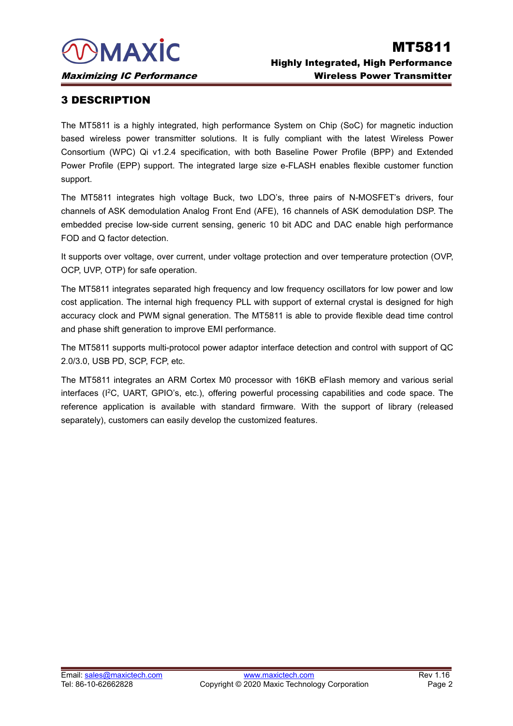MAXIC<br>
Maximizing IC Performance<br>
3 DESCRIPTION<br>
The MT5811 is a highly integrated, high performance System or<br>
based wireless power transmitter solutions. It is fully complia **MT5811 ISBN MT5811 ISBN MT5811 ISBN MT5811 ISBN MT5811 ISBN Performance**<br> **SIDESCRIPTION**<br>
The MT5811 is a highly integrated, high performance System on Chip (SoC) for magnetic induction<br>
based wireless power transmitter **based wireless Power Transmitter**<br> **based wireless Power Transmitter**<br> **based wireless Power Transmitter**<br> **based wireless power transmitter**<br> **based wireless power transmitter solutions.** It is fully compliant with the l **Consorting IC Performance**<br> **Consorting IC Performance**<br> **Consorting IC Performance**<br> **Consortium (WPC) Qi v1.2.4 specification, with both Baseline Power Profile (BPP) and Extended wireless power transmitter solutions. It Example 12 Consumizing IC Performance**<br> **Power Profile (EPP) Support Profile (EPP)** support. The MT5811 is a highly integrated, high performance System on Chip (SoC) for magnetic induction<br>
based wireless power transmitte support. **Maximizing IC Performance**<br> **The MT5811 is a highly integrated, high performance System on Chip (SoC) for magnetic induction<br>
based wireless power transmitter solutions. It is fully compliant with the latest Wireless Powe 3 DESCRIPTION**<br>The MT5811 is a highly integrated, high performance System on Chip (SoC) for magnetic induction<br>based wireless power transmitter solutions. It is fully compliant with the latest Wireless Power<br>Consortium (W **3 DESCRIPTION**<br>The MT5811 is a highly integrated, high performance System on Chip (SoC) for magnetic induction<br>based wireless power transmitter solutions. It is fully compliant with the latest Wireless Power<br>Consortium (W The MT5811 is a highly integrated, high performar<br>based wireless power transmitter solutions. It is<br>Consortium (WPC) Qi v1.2.4 specification, with b<br>Power Profile (EPP) support. The integrated large<br>support.<br>The MT5811 int based wireless power transmitter solutions. It is fully compliant with the latest Wireless Power<br>Consortium (WPC) Qi v1.2.4 specification, with both Baseline Power Profile (BPP) and Extended<br>Power Profile (EPP) support. Th

Consortium (WPC) Qi v1.2.4 specification, with both Base<br>
Power Profile (EPP) support. The integrated large size e-<br>
support.<br>
The MT5811 integrates high voltage Buck, two LDO's,<br>
channels of ASK demodulation Analog Front Power Profile (EPP) support. The integrated large size e-FLASH enables flexible customer function<br>support.<br>The MT5811 integrates high voltage Buck, two LDO's, three pairs of N-MOSFET's drivers, four<br>channels of ASK demodul

support.<br>
The MT5811 integrates high voltage Buck, two LDO's, three pairs of N-MOSFET's drivers, four<br>
channels of ASK demodulation Analog Front End (AFE), 16 channels of ASK demodulation DSP. The<br>
embedded precise low-sid The MT5811 integrates high voltage Buck, two LDO's, three pairs of N-MOSFET's drivers, four channels of ASK demodulation Analog Front End (AFE), 16 channels of ASK demodulation DSP. The embedded precise low-side current se channels of ASK demodulation Analog Front End (AFE), 16 channels of AS<br>embedded precise low-side current sensing, generic 10 bit ADC and DAC<br>FOD and Q factor detection.<br>It supports over voltage, over current, under voltage embedded precise low-side current sensing, generic 10 bit ADC and DAC enable high performance<br>FOD and Q factor detection.<br>It supports over voltage, over current, under voltage protection and over temperature protection (OV FOD and Q factor detection.<br>
It supports over voltage, over current, under voltage protection<br>
OCP, UVP, OTP) for safe operation.<br>
The MT5811 integrates separated high frequency and low frec<br>
cost application. The internal It supports over voltage, over current, under voltage protection and over temperature protection (OVP,<br>
OCP, UVP, OTP) for safe operation.<br>
The MT5811 integrates separated high frequency and low frequency oscillators for l

OCP, UVP, OTP) for safe operation.<br>The MT5811 integrates separated high frequency and low frequency oscillators for low power and low<br>cost application. The internal high frequency PLL with support of external crystal is de The MT5811 integrates separated high frequency and low frequency oscillators for low power and low<br>cost application. The internal high frequency PLL with support of external crystal is designed for high<br>accuracy clock and cost application. The internal high frequency PLL with support of external crystal is designaccuracy clock and PWM signal generation. The MT5811 is able to provide flexible dead ti and phase shift generation to improve EMI